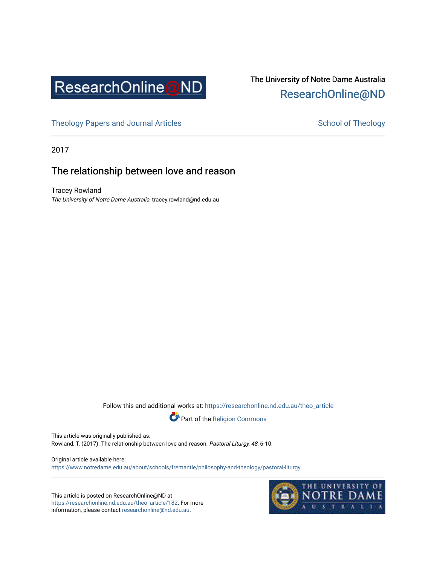

## The University of Notre Dame Australia [ResearchOnline@ND](https://researchonline.nd.edu.au/)

[Theology Papers and Journal Articles](https://researchonline.nd.edu.au/theo_article) and [School of Theology](https://researchonline.nd.edu.au/theo) School of Theology

2017

## The relationship between love and reason

Tracey Rowland The University of Notre Dame Australia, tracey.rowland@nd.edu.au

Follow this and additional works at: [https://researchonline.nd.edu.au/theo\\_article](https://researchonline.nd.edu.au/theo_article?utm_source=researchonline.nd.edu.au%2Ftheo_article%2F182&utm_medium=PDF&utm_campaign=PDFCoverPages) 



This article was originally published as: Rowland, T. (2017). The relationship between love and reason. Pastoral Liturgy, 48, 6-10.

Original article available here: <https://www.notredame.edu.au/about/schools/fremantle/philosophy-and-theology/pastoral-liturgy>

This article is posted on ResearchOnline@ND at [https://researchonline.nd.edu.au/theo\\_article/182](https://researchonline.nd.edu.au/theo_article/182). For more information, please contact [researchonline@nd.edu.au.](mailto:researchonline@nd.edu.au)

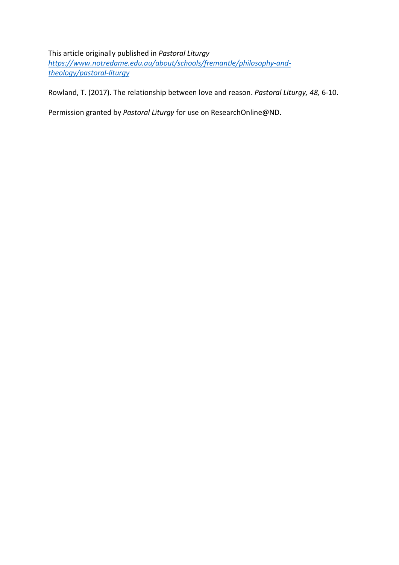This article originally published in *Pastoral Liturgy https:/[/www.notredame.edu.au/about/schools/fremantle/philosophy-and](https://www.notredame.edu.au/about/schools/fremantle/philosophy-and-theology/pastoral-liturgy)[theology/pastoral-liturgy](https://www.notredame.edu.au/about/schools/fremantle/philosophy-and-theology/pastoral-liturgy)*

Rowland, T. (2017). The relationship between love and reason. *Pastoral Liturgy, 48,* 6-10.

Permission granted by *Pastoral Liturgy* for use on ResearchOnline@ND.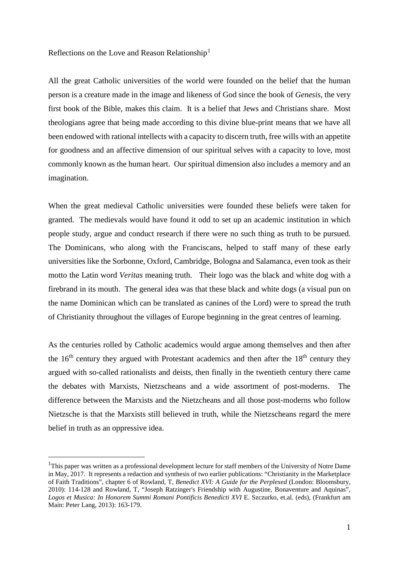## Reflections on the Love and Reason Relationship<sup>[1](#page-2-0)</sup>

All the great Catholic universities of the world were founded on the belief that the human person is a creature made in the image and likeness of God since the book of *Genesis*, the very first book of the Bible, makes this claim. It is a belief that Jews and Christians share. Most theologians agree that being made according to this divine blue-print means that we have all been endowed with rational intellects with a capacity to discern truth, free wills with an appetite for goodness and an affective dimension of our spiritual selves with a capacity to love, most commonly known as the human heart. Our spiritual dimension also includes a memory and an imagination.

When the great medieval Catholic universities were founded these beliefs were taken for granted. The medievals would have found it odd to set up an academic institution in which people study, argue and conduct research if there were no such thing as truth to be pursued. The Dominicans, who along with the Franciscans, helped to staff many of these early universities like the Sorbonne, Oxford, Cambridge, Bologna and Salamanca, even took as their motto the Latin word *Veritas* meaning truth. Their logo was the black and white dog with a firebrand in its mouth. The general idea was that these black and white dogs (a visual pun on the name Dominican which can be translated as canines of the Lord) were to spread the truth of Christianity throughout the villages of Europe beginning in the great centres of learning.

As the centuries rolled by Catholic academics would argue among themselves and then after the  $16<sup>th</sup>$  century they argued with Protestant academics and then after the  $18<sup>th</sup>$  century they argued with so-called rationalists and deists, then finally in the twentieth century there came the debates with Marxists, Nietzscheans and a wide assortment of post-moderns. The difference between the Marxists and the Nietzcheans and all those post-moderns who follow Nietzsche is that the Marxists still believed in truth, while the Nietzscheans regard the mere belief in truth as an oppressive idea.

<u>.</u>

<span id="page-2-0"></span><sup>&</sup>lt;sup>1</sup>This paper was written as a professional development lecture for staff members of the University of Notre Dame in May, 2017. It represents a redaction and synthesis of two earlier publications: "Christianity in the Marketplace of Faith Traditions", chapter 6 of Rowland, T, *Benedict XVI: A Guide for the Perplexed* (London: Bloomsbury, 2010): 114-128 and Rowland, T, "Joseph Ratzinger's Friendship with Augustine, Bonaventure and Aquinas", *Logos et Musica: In Honorem Summi Romani Pontificis Benedicti XVI* E. Szczurko, et.al. (eds), (Frankfurt am Main: Peter Lang, 2013): 163-179.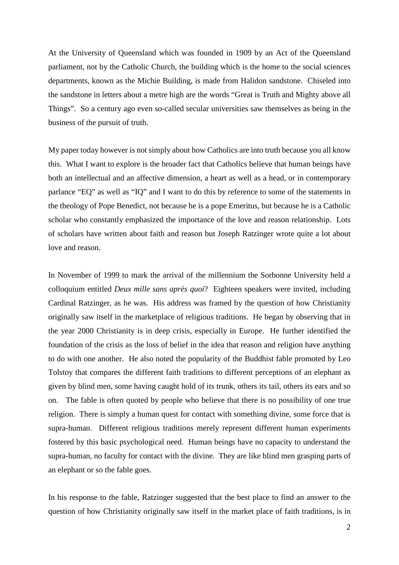At the University of Queensland which was founded in 1909 by an Act of the Queensland parliament, not by the Catholic Church, the building which is the home to the social sciences departments, known as the Michie Building, is made from Halidon sandstone. Chiseled into the sandstone in letters about a metre high are the words "Great is Truth and Mighty above all Things". So a century ago even so-called secular universities saw themselves as being in the business of the pursuit of truth.

My paper today however is not simply about how Catholics are into truth because you all know this. What I want to explore is the broader fact that Catholics believe that human beings have both an intellectual and an affective dimension, a heart as well as a head, or in contemporary parlance "EQ" as well as "IQ" and I want to do this by reference to some of the statements in the theology of Pope Benedict, not because he is a pope Emeritus, but because he is a Catholic scholar who constantly emphasized the importance of the love and reason relationship. Lots of scholars have written about faith and reason but Joseph Ratzinger wrote quite a lot about love and reason.

In November of 1999 to mark the arrival of the millennium the Sorbonne University held a colloquium entitled *Deux mille sans après quoi*? Eighteen speakers were invited, including Cardinal Ratzinger, as he was. His address was framed by the question of how Christianity originally saw itself in the marketplace of religious traditions. He began by observing that in the year 2000 Christianity is in deep crisis, especially in Europe. He further identified the foundation of the crisis as the loss of belief in the idea that reason and religion have anything to do with one another. He also noted the popularity of the Buddhist fable promoted by Leo Tolstoy that compares the different faith traditions to different perceptions of an elephant as given by blind men, some having caught hold of its trunk, others its tail, others its ears and so on. The fable is often quoted by people who believe that there is no possibility of one true religion. There is simply a human quest for contact with something divine, some force that is supra-human. Different religious traditions merely represent different human experiments fostered by this basic psychological need. Human beings have no capacity to understand the supra-human, no faculty for contact with the divine. They are like blind men grasping parts of an elephant or so the fable goes.

In his response to the fable, Ratzinger suggested that the best place to find an answer to the question of how Christianity originally saw itself in the market place of faith traditions, is in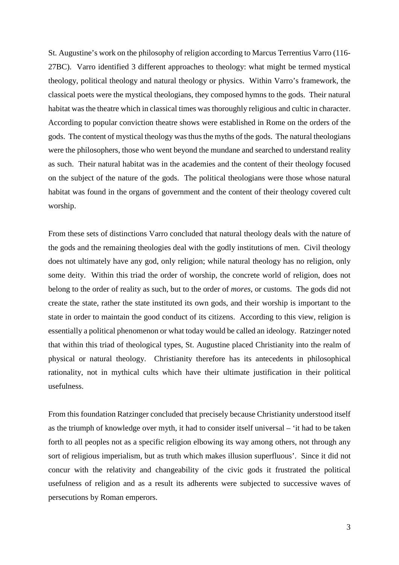St. Augustine's work on the philosophy of religion according to Marcus Terrentius Varro (116- 27BC). Varro identified 3 different approaches to theology: what might be termed mystical theology, political theology and natural theology or physics. Within Varro's framework, the classical poets were the mystical theologians, they composed hymns to the gods. Their natural habitat was the theatre which in classical times was thoroughly religious and cultic in character. According to popular conviction theatre shows were established in Rome on the orders of the gods. The content of mystical theology was thus the myths of the gods. The natural theologians were the philosophers, those who went beyond the mundane and searched to understand reality as such. Their natural habitat was in the academies and the content of their theology focused on the subject of the nature of the gods. The political theologians were those whose natural habitat was found in the organs of government and the content of their theology covered cult worship.

From these sets of distinctions Varro concluded that natural theology deals with the nature of the gods and the remaining theologies deal with the godly institutions of men. Civil theology does not ultimately have any god, only religion; while natural theology has no religion, only some deity. Within this triad the order of worship, the concrete world of religion, does not belong to the order of reality as such, but to the order of *mores*, or customs. The gods did not create the state, rather the state instituted its own gods, and their worship is important to the state in order to maintain the good conduct of its citizens. According to this view, religion is essentially a political phenomenon or what today would be called an ideology. Ratzinger noted that within this triad of theological types, St. Augustine placed Christianity into the realm of physical or natural theology. Christianity therefore has its antecedents in philosophical rationality, not in mythical cults which have their ultimate justification in their political usefulness.

From this foundation Ratzinger concluded that precisely because Christianity understood itself as the triumph of knowledge over myth, it had to consider itself universal – 'it had to be taken forth to all peoples not as a specific religion elbowing its way among others, not through any sort of religious imperialism, but as truth which makes illusion superfluous'. Since it did not concur with the relativity and changeability of the civic gods it frustrated the political usefulness of religion and as a result its adherents were subjected to successive waves of persecutions by Roman emperors.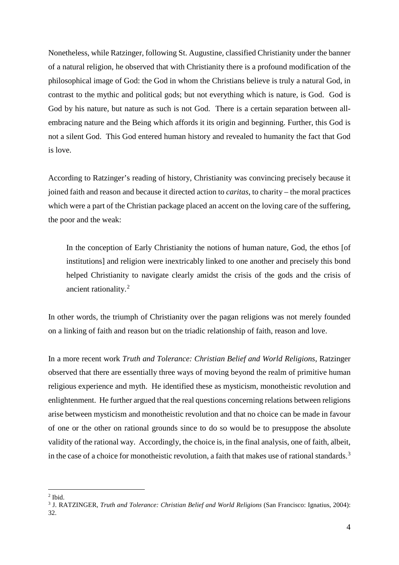Nonetheless, while Ratzinger, following St. Augustine, classified Christianity under the banner of a natural religion, he observed that with Christianity there is a profound modification of the philosophical image of God: the God in whom the Christians believe is truly a natural God, in contrast to the mythic and political gods; but not everything which is nature, is God. God is God by his nature, but nature as such is not God. There is a certain separation between allembracing nature and the Being which affords it its origin and beginning. Further, this God is not a silent God. This God entered human history and revealed to humanity the fact that God is love.

According to Ratzinger's reading of history, Christianity was convincing precisely because it joined faith and reason and because it directed action to *caritas*, to charity – the moral practices which were a part of the Christian package placed an accent on the loving care of the suffering, the poor and the weak:

In the conception of Early Christianity the notions of human nature, God, the ethos [of institutions] and religion were inextricably linked to one another and precisely this bond helped Christianity to navigate clearly amidst the crisis of the gods and the crisis of ancient rationality.[2](#page-5-0)

In other words, the triumph of Christianity over the pagan religions was not merely founded on a linking of faith and reason but on the triadic relationship of faith, reason and love.

In a more recent work *Truth and Tolerance: Christian Belief and World Religions*, Ratzinger observed that there are essentially three ways of moving beyond the realm of primitive human religious experience and myth. He identified these as mysticism, monotheistic revolution and enlightenment. He further argued that the real questions concerning relations between religions arise between mysticism and monotheistic revolution and that no choice can be made in favour of one or the other on rational grounds since to do so would be to presuppose the absolute validity of the rational way. Accordingly, the choice is, in the final analysis, one of faith, albeit, in the case of a choice for monotheistic revolution, a faith that makes use of rational standards.<sup>[3](#page-5-1)</sup>

<sup>2</sup> Ibid. -

<span id="page-5-1"></span><span id="page-5-0"></span><sup>3</sup> J. RATZINGER, *Truth and Tolerance: Christian Belief and World Religions* (San Francisco: Ignatius, 2004): 32.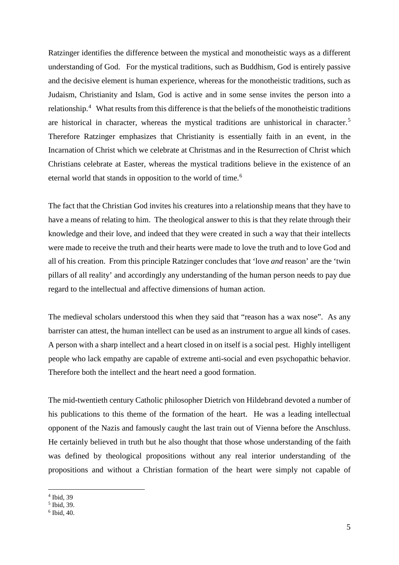Ratzinger identifies the difference between the mystical and monotheistic ways as a different understanding of God. For the mystical traditions, such as Buddhism, God is entirely passive and the decisive element is human experience, whereas for the monotheistic traditions, such as Judaism, Christianity and Islam, God is active and in some sense invites the person into a relationship.<sup>[4](#page-6-0)</sup> What results from this difference is that the beliefs of the monotheistic traditions are historical in character, whereas the mystical traditions are unhistorical in character.<sup>[5](#page-6-1)</sup> Therefore Ratzinger emphasizes that Christianity is essentially faith in an event, in the Incarnation of Christ which we celebrate at Christmas and in the Resurrection of Christ which Christians celebrate at Easter, whereas the mystical traditions believe in the existence of an eternal world that stands in opposition to the world of time.<sup>[6](#page-6-2)</sup>

The fact that the Christian God invites his creatures into a relationship means that they have to have a means of relating to him. The theological answer to this is that they relate through their knowledge and their love, and indeed that they were created in such a way that their intellects were made to receive the truth and their hearts were made to love the truth and to love God and all of his creation. From this principle Ratzinger concludes that 'love *and* reason' are the 'twin pillars of all reality' and accordingly any understanding of the human person needs to pay due regard to the intellectual and affective dimensions of human action.

The medieval scholars understood this when they said that "reason has a wax nose". As any barrister can attest, the human intellect can be used as an instrument to argue all kinds of cases. A person with a sharp intellect and a heart closed in on itself is a social pest. Highly intelligent people who lack empathy are capable of extreme anti-social and even psychopathic behavior. Therefore both the intellect and the heart need a good formation.

The mid-twentieth century Catholic philosopher Dietrich von Hildebrand devoted a number of his publications to this theme of the formation of the heart. He was a leading intellectual opponent of the Nazis and famously caught the last train out of Vienna before the Anschluss. He certainly believed in truth but he also thought that those whose understanding of the faith was defined by theological propositions without any real interior understanding of the propositions and without a Christian formation of the heart were simply not capable of

<sup>4</sup> Ibid, 39 -

<span id="page-6-1"></span><span id="page-6-0"></span><sup>5</sup> Ibid, 39.

<span id="page-6-2"></span><sup>6</sup> Ibid, 40.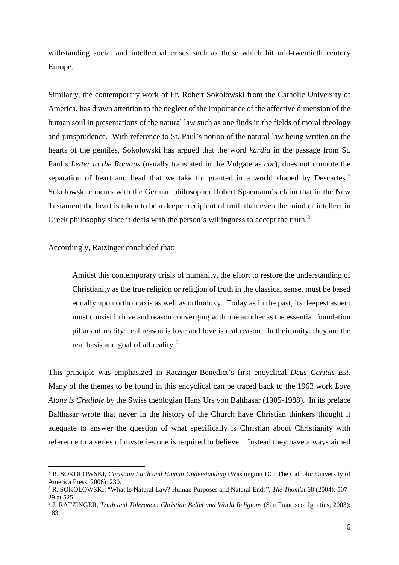withstanding social and intellectual crises such as those which hit mid-twentieth century Europe.

Similarly, the contemporary work of Fr. Robert Sokolowski from the Catholic University of America, has drawn attention to the neglect of the importance of the affective dimension of the human soul in presentations of the natural law such as one finds in the fields of moral theology and jurisprudence. With reference to St. Paul's notion of the natural law being written on the hearts of the gentiles, Sokolowski has argued that the word *kardia* in the passage from St. Paul's *Letter to the Romans* (usually translated in the Vulgate as *cor*), does not connote the separation of heart and head that we take for granted in a world shaped by Descartes.<sup>[7](#page-7-0)</sup> Sokolowski concurs with the German philosopher Robert Spaemann's claim that in the New Testament the heart is taken to be a deeper recipient of truth than even the mind or intellect in Greek philosophy since it deals with the person's willingness to accept the truth.<sup>[8](#page-7-1)</sup>

Accordingly, Ratzinger concluded that:

-

Amidst this contemporary crisis of humanity, the effort to restore the understanding of Christianity as the true religion or religion of truth in the classical sense, must be based equally upon orthopraxis as well as orthodoxy. Today as in the past, its deepest aspect must consist in love and reason converging with one another as the essential foundation pillars of reality: real reason is love and love is real reason. In their unity, they are the real basis and goal of all reality.<sup>[9](#page-7-2)</sup>

This principle was emphasized in Ratzinger-Benedict's first encyclical *Deus Caritas Est*. Many of the themes to be found in this encyclical can be traced back to the 1963 work *Love Alone is Credible* by the Swiss theologian Hans Urs von Balthasar (1905-1988).In its preface Balthasar wrote that never in the history of the Church have Christian thinkers thought it adequate to answer the question of what specifically is Christian about Christianity with reference to a series of mysteries one is required to believe. Instead they have always aimed

<span id="page-7-0"></span><sup>7</sup> R. SOKOLOWSKI, *Christian Faith and Human Understanding* (Washington DC: The Catholic University of America Press, 2006): 230.

<span id="page-7-1"></span><sup>8</sup> R. SOKOLOWSKI, "What Is Natural Law? Human Purposes and Natural Ends", *The Thomist* 68 (2004): 507– 29 at 525.

<span id="page-7-2"></span><sup>9</sup> J. RATZINGER, *Truth and Tolerance: Christian Belief and World Religions* (San Francisco: Ignatius, 2003): 183.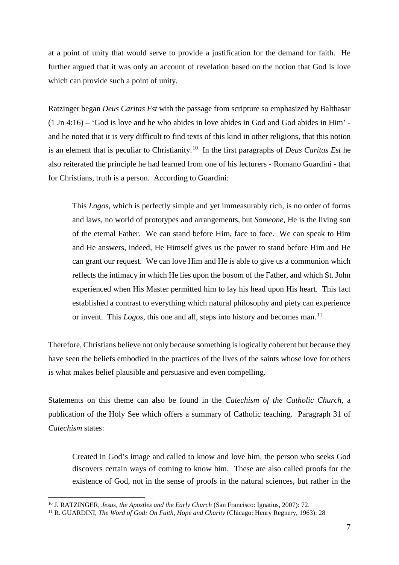at a point of unity that would serve to provide a justification for the demand for faith. He further argued that it was only an account of revelation based on the notion that God is love which can provide such a point of unity.

Ratzinger began *Deus Caritas Est* with the passage from scripture so emphasized by Balthasar (1 Jn 4:16) – 'God is love and he who abides in love abides in God and God abides in Him' and he noted that it is very difficult to find texts of this kind in other religions, that this notion is an element that is peculiar to Christianity.[10](#page-8-0) In the first paragraphs of *Deus Caritas Est* he also reiterated the principle he had learned from one of his lecturers - Romano Guardini - that for Christians, truth is a person. According to Guardini:

This *Logos*, which is perfectly simple and yet immeasurably rich, is no order of forms and laws, no world of prototypes and arrangements, but *Someone*, He is the living son of the eternal Father. We can stand before Him, face to face. We can speak to Him and He answers, indeed, He Himself gives us the power to stand before Him and He can grant our request. We can love Him and He is able to give us a communion which reflects the intimacy in which He lies upon the bosom of the Father, and which St. John experienced when His Master permitted him to lay his head upon His heart. This fact established a contrast to everything which natural philosophy and piety can experience or invent. This *Logos*, this one and all, steps into history and becomes man.<sup>[11](#page-8-1)</sup>

Therefore, Christians believe not only because something is logically coherent but because they have seen the beliefs embodied in the practices of the lives of the saints whose love for others is what makes belief plausible and persuasive and even compelling.

Statements on this theme can also be found in the *Catechism of the Catholic Church*, a publication of the Holy See which offers a summary of Catholic teaching. Paragraph 31 of *Catechism* states:

Created in God's image and called to know and love him, the person who seeks God discovers certain ways of coming to know him. These are also called proofs for the existence of God, not in the sense of proofs in the natural sciences, but rather in the

<sup>10</sup> J. RATZINGER, *Jesus, the Apostles and the Early Church* (San Francisco: Ignatius, 2007): 72. <u>.</u>

<span id="page-8-1"></span><span id="page-8-0"></span><sup>11</sup> R. GUARDINI, *The Word of God: On Faith, Hope and Charity* (Chicago: Henry Regnery, 1963): 28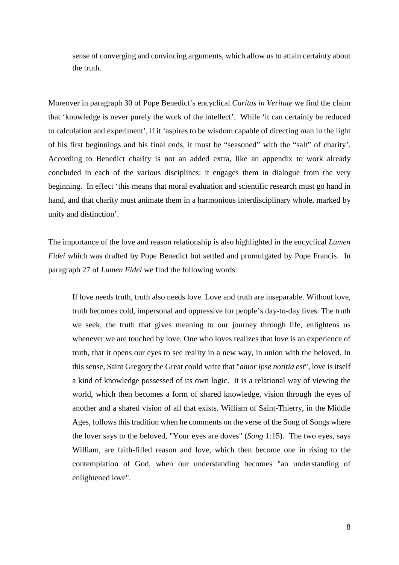sense of converging and convincing arguments, which allow us to attain certainty about the truth.

Moreover in paragraph 30 of Pope Benedict's encyclical *Caritas in Veritate* we find the claim that 'knowledge is never purely the work of the intellect'. While 'it can certainly be reduced to calculation and experiment', if it 'aspires to be wisdom capable of directing man in the light of his first beginnings and his final ends, it must be "seasoned" with the "salt" of charity'. According to Benedict charity is not an added extra, like an appendix to work already concluded in each of the various disciplines: it engages them in dialogue from the very beginning. In effect 'this means that moral evaluation and scientific research must go hand in hand, and that charity must animate them in a harmonious interdisciplinary whole, marked by unity and distinction'.

The importance of the love and reason relationship is also highlighted in the encyclical *Lumen Fidei* which was drafted by Pope Benedict but settled and promulgated by Pope Francis. In paragraph 27 of *Lumen Fidei* we find the following words:

If love needs truth, truth also needs love. Love and truth are inseparable. Without love, truth becomes cold, impersonal and oppressive for people's day-to-day lives. The truth we seek, the truth that gives meaning to our journey through life, enlightens us whenever we are touched by love. One who loves realizes that love is an experience of truth, that it opens our eyes to see reality in a new way, in union with the beloved. In this sense, Saint Gregory the Great could write that "*amor ipse notitia est*", love is itself a kind of knowledge possessed of its own logic. It is a relational way of viewing the world, which then becomes a form of shared knowledge, vision through the eyes of another and a shared vision of all that exists. William of Saint-Thierry, in the Middle Ages, follows this tradition when he comments on the verse of the Song of Songs where the lover says to the beloved, "Your eyes are doves" (*Song* 1:15). The two eyes, says William, are faith-filled reason and love, which then become one in rising to the contemplation of God, when our understanding becomes "an understanding of enlightened love".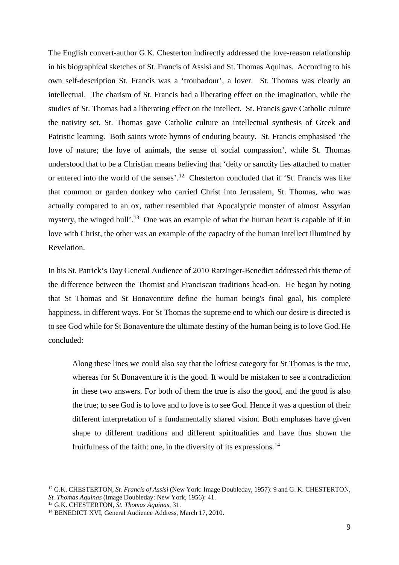The English convert-author G.K. Chesterton indirectly addressed the love-reason relationship in his biographical sketches of St. Francis of Assisi and St. Thomas Aquinas. According to his own self-description St. Francis was a 'troubadour', a lover. St. Thomas was clearly an intellectual. The charism of St. Francis had a liberating effect on the imagination, while the studies of St. Thomas had a liberating effect on the intellect. St. Francis gave Catholic culture the nativity set, St. Thomas gave Catholic culture an intellectual synthesis of Greek and Patristic learning. Both saints wrote hymns of enduring beauty. St. Francis emphasised 'the love of nature; the love of animals, the sense of social compassion', while St. Thomas understood that to be a Christian means believing that 'deity or sanctity lies attached to matter or entered into the world of the senses'.[12](#page-10-0) Chesterton concluded that if 'St. Francis was like that common or garden donkey who carried Christ into Jerusalem, St. Thomas, who was actually compared to an ox, rather resembled that Apocalyptic monster of almost Assyrian mystery, the winged bull'.<sup>13</sup> One was an example of what the human heart is capable of if in love with Christ, the other was an example of the capacity of the human intellect illumined by Revelation.

In his St. Patrick's Day General Audience of 2010 Ratzinger-Benedict addressed this theme of the difference between the Thomist and Franciscan traditions head-on. He began by noting that St Thomas and St Bonaventure define the human being's final goal, his complete happiness, in different ways. For St Thomas the supreme end to which our desire is directed is to see God while for St Bonaventure the ultimate destiny of the human being is to love God.He concluded:

Along these lines we could also say that the loftiest category for St Thomas is the true, whereas for St Bonaventure it is the good. It would be mistaken to see a contradiction in these two answers. For both of them the true is also the good, and the good is also the true; to see God is to love and to love is to see God. Hence it was a question of their different interpretation of a fundamentally shared vision. Both emphases have given shape to different traditions and different spiritualities and have thus shown the fruitfulness of the faith: one, in the diversity of its expressions. $^{14}$  $^{14}$  $^{14}$ 

<u>.</u>

<span id="page-10-0"></span><sup>12</sup> G.K. CHESTERTON, *St. Francis of Assisi* (New York: Image Doubleday, 1957): 9 and G. K. CHESTERTON, *St. Thomas Aquinas* (Image Doubleday: New York, 1956): 41.

<span id="page-10-1"></span><sup>13</sup> G.K. CHESTERTON, *St. Thomas Aquinas*, 31.

<span id="page-10-2"></span><sup>&</sup>lt;sup>14</sup> BENEDICT XVI, General Audience Address, March 17, 2010.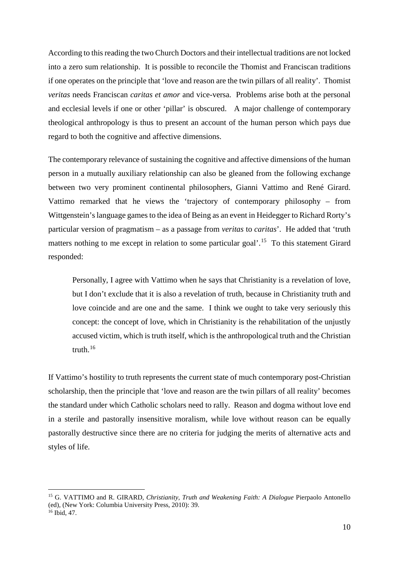According to this reading the two Church Doctors and their intellectual traditions are not locked into a zero sum relationship. It is possible to reconcile the Thomist and Franciscan traditions if one operates on the principle that 'love and reason are the twin pillars of all reality'. Thomist *veritas* needs Franciscan *caritas et amor* and vice-versa. Problems arise both at the personal and ecclesial levels if one or other 'pillar' is obscured. A major challenge of contemporary theological anthropology is thus to present an account of the human person which pays due regard to both the cognitive and affective dimensions.

The contemporary relevance of sustaining the cognitive and affective dimensions of the human person in a mutually auxiliary relationship can also be gleaned from the following exchange between two very prominent continental philosophers, Gianni Vattimo and René Girard. Vattimo remarked that he views the 'trajectory of contemporary philosophy – from Wittgenstein's language games to the idea of Being as an event in Heidegger to Richard Rorty's particular version of pragmatism – as a passage from *veritas* to *caritas*'. He added that 'truth matters nothing to me except in relation to some particular goal'.<sup>15</sup> To this statement Girard responded:

Personally, I agree with Vattimo when he says that Christianity is a revelation of love, but I don't exclude that it is also a revelation of truth, because in Christianity truth and love coincide and are one and the same. I think we ought to take very seriously this concept: the concept of love, which in Christianity is the rehabilitation of the unjustly accused victim, which is truth itself, which is the anthropological truth and the Christian truth.[16](#page-11-1)

If Vattimo's hostility to truth represents the current state of much contemporary post-Christian scholarship, then the principle that 'love and reason are the twin pillars of all reality' becomes the standard under which Catholic scholars need to rally. Reason and dogma without love end in a sterile and pastorally insensitive moralism, while love without reason can be equally pastorally destructive since there are no criteria for judging the merits of alternative acts and styles of life.

-

<span id="page-11-1"></span><span id="page-11-0"></span><sup>15</sup> G. VATTIMO and R. GIRARD, *Christianity, Truth and Weakening Faith: A Dialogue* Pierpaolo Antonello (ed), (New York: Columbia University Press, 2010): 39. <sup>16</sup> Ibid, 47.